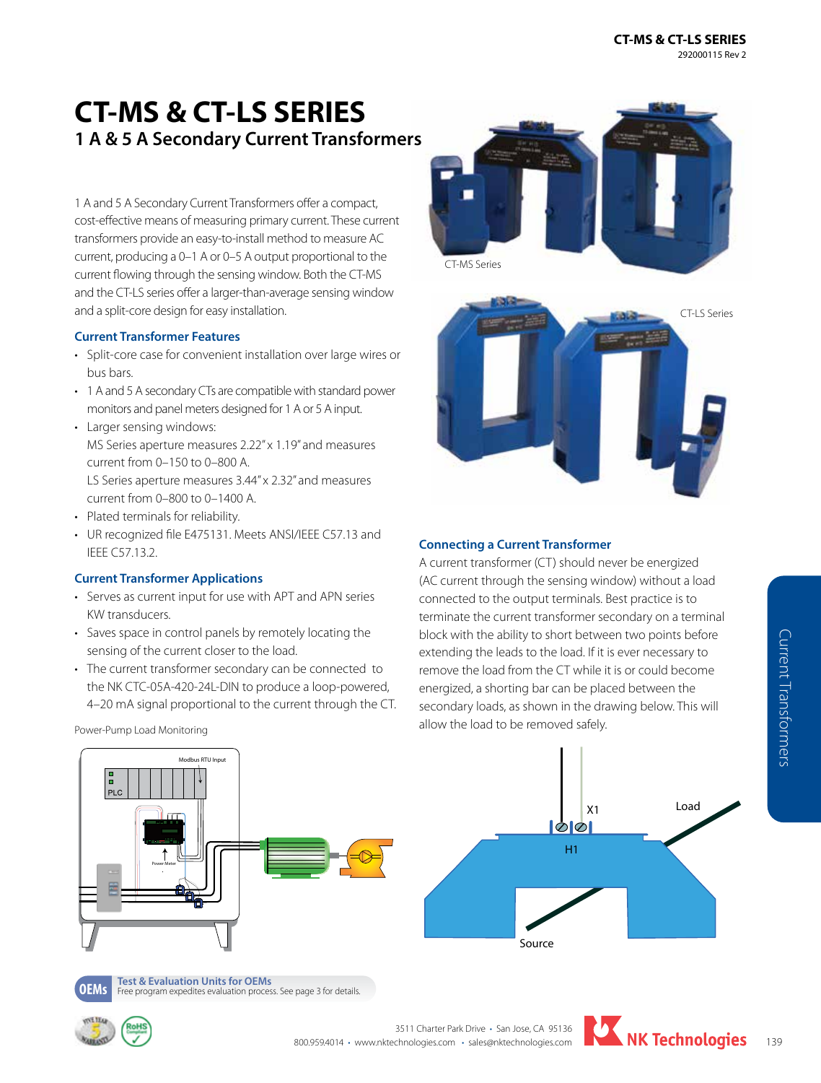# **CT-MS & CT-LS SERIES 1 A & 5 A Secondary Current Transformers**

1 A and 5 A Secondary Current Transformers offer a compact, cost-effective means of measuring primary current. These current transformers provide an easy-to-install method to measure AC current, producing a 0–1 A or 0–5 A output proportional to the current flowing through the sensing window. Both the CT-MS and the CT-LS series offer a larger-than-average sensing window and a split-core design for easy installation.

### **Current Transformer Features**

- Split-core case for convenient installation over large wires or bus bars.
- 1 A and 5 A secondary CTs are compatible with standard power monitors and panel meters designed for 1 A or 5 A input.
- Larger sensing windows: MS Series aperture measures 2.22" x 1.19" and measures current from 0–150 to 0–800 A. LS Series aperture measures 3.44" x 2.32" and measures current from 0–800 to 0–1400 A. • Plated terminals for reliability.
- UR recognized file E475131. Meets ANSI/IEEE C57.13 and IEEE C57.13.2.

### **Current Transformer Applications**

- Serves as current input for use with APT and APN series KW transducers.
- Saves space in control panels by remotely locating the sensing of the current closer to the load.
- The current transformer secondary can be connected to the NK CTC-05A-420-24L-DIN to produce a loop-powered, 4–20 mA signal proportional to the current through the CT.

Power-Pump Load Monitoring





#### **Connecting a Current Transformer**

A current transformer (CT) should never be energized (AC current through the sensing window) without a load connected to the output terminals. Best practice is to terminate the current transformer secondary on a terminal block with the ability to short between two points before extending the leads to the load. If it is ever necessary to remove the load from the CT while it is or could become energized, a shorting bar can be placed between the secondary loads, as shown in the drawing below. This will allow the load to be removed safely.







**OEMs Test & Evaluation Units for OEMs**<br>**OEMS** Free program expedites evaluation process. See page 3 for details.